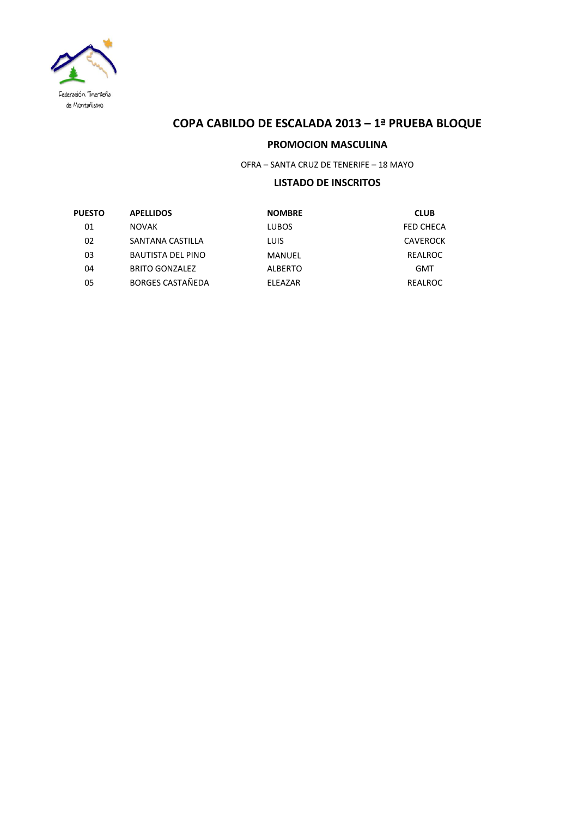

### **PROMOCION MASCULINA**

OFRA – SANTA CRUZ DE TENERIFE – 18 MAYO

# **LISTADO DE INSCRITOS**

| <b>PUESTO</b> | <b>APELLIDOS</b>         | <b>NOMBRE</b>  | <b>CLUB</b>     |
|---------------|--------------------------|----------------|-----------------|
| 01            | <b>NOVAK</b>             | <b>LUBOS</b>   | FED CHECA       |
| 02            | SANTANA CASTILLA         | <b>LUIS</b>    | <b>CAVEROCK</b> |
| 03            | <b>BAUTISTA DEL PINO</b> | MANUEL         | REALROC         |
| 04            | <b>BRITO GONZALEZ</b>    | <b>ALBERTO</b> | <b>GMT</b>      |
| 05            | <b>BORGES CASTAÑEDA</b>  | ELEAZAR        | REALROC         |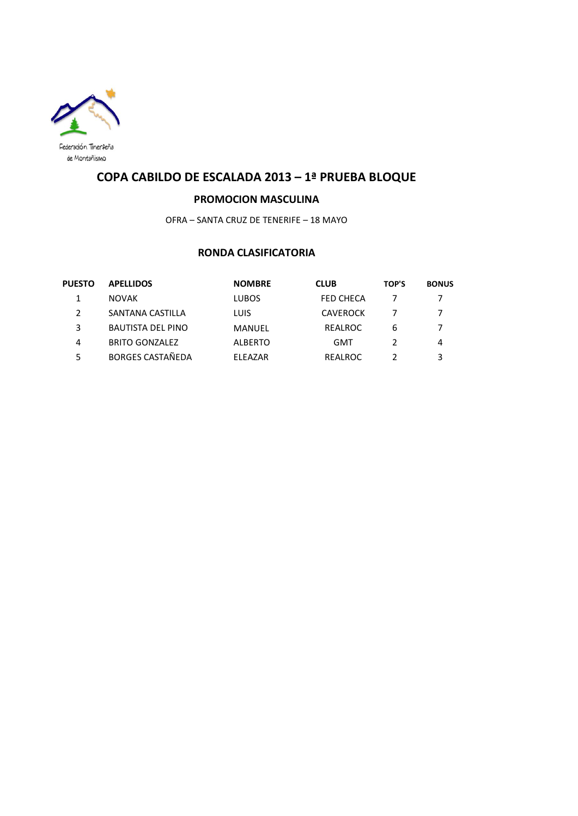

### **PROMOCION MASCULINA**

OFRA – SANTA CRUZ DE TENERIFE – 18 MAYO

# **RONDA CLASIFICATORIA**

| <b>PUESTO</b> | <b>APELLIDOS</b>         | <b>NOMBRE</b>  | <b>CLUB</b>     | TOP'S | <b>BONUS</b> |
|---------------|--------------------------|----------------|-----------------|-------|--------------|
|               | <b>NOVAK</b>             | <b>LUBOS</b>   | FED CHECA       |       |              |
|               | SANTANA CASTILLA         | <b>LUIS</b>    | <b>CAVEROCK</b> |       |              |
| 3             | <b>BAUTISTA DEL PINO</b> | MANUEL         | REALROC         | 6     | 7            |
| 4             | <b>BRITO GONZALEZ</b>    | <b>ALBERTO</b> | GMT             |       | 4            |
| 5             | <b>BORGES CASTAÑEDA</b>  | <b>FLFAZAR</b> | REALROC         |       | 3            |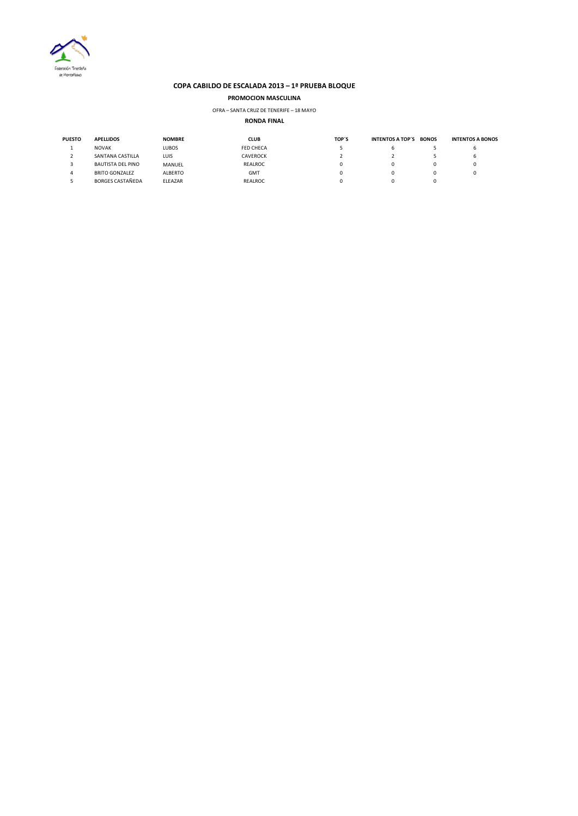

**PROMOCION MASCULINA**

#### OFRA – SANTA CRUZ DE TENERIFE – 18 MAYO

#### **RONDA FINAL**

| <b>PUESTO</b> | <b>APELLIDOS</b>        | <b>NOMBRE</b> | <b>CLUB</b>      | TOP'S | INTENTOS A TOP'S BONOS | <b>INTENTOS A BONOS</b> |
|---------------|-------------------------|---------------|------------------|-------|------------------------|-------------------------|
|               | <b>NOVAK</b>            | LUBOS         | <b>FED CHECA</b> |       | ь.                     |                         |
|               | SANTANA CASTILLA        | <b>LUIS</b>   | CAVEROCK         |       |                        |                         |
|               | BAUTISTA DEL PINO       | MANUEL        | REALROC          |       |                        |                         |
| Δ             | <b>BRITO GONZALEZ</b>   | ALBERTO       | <b>GMT</b>       |       |                        |                         |
|               | <b>BORGES CASTAÑEDA</b> | ELEAZAR       | REALROC          |       |                        |                         |
|               |                         |               |                  |       |                        |                         |